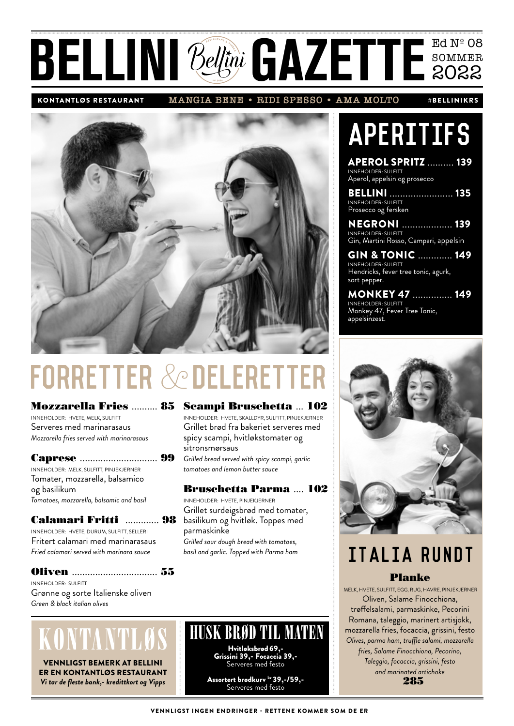# BELLINI Bellini GAZETTE SOMMER

**MANGIA BENE • RIDI SPESSO • AMA MOLTO** KONTANTLØS RESTAURANT #BELLINIKRS

**APERITIFS** 

APEROL SPRITZ .......... 139

BELLINI ........................ 135

NEGRONI ................... 139

MONKEY 47 ............... 149

Gin, Martini Rosso, Campari, appelsin GIN & TONIC ............. 149

Hendricks, fever tree tonic, agurk,

INNEHOLDER: SULFITT Monkey 47, Fever Tree Tonic,

INNEHOLDER: SULFITT

INNEHOLDER: SULFITT Prosecco og fersken

INNEHOLDER: SULFITT

INNEHOLDER: SULFITT

sort pepper.

appelsinzest.

Aperol, appelsin og prosecco



# FORRETTER & DELER

Mozzarella Fries .......... 85 INNEHOLDER: HVETE, MELK, SULFITT Serveres med marinarasaus *Mozzarella fries served with marinarasaus*

#### Caprese .............................. 99

INNEHOLDER: MELK, SULFITT, PINJEKJERNER Tomater, mozzarella, balsamico og basilikum *Tomatoes, mozzarella, balsamic and basil*

#### Calamari Fritti ............. 98

INNEHOLDER: HVETE, DURUM, SULFITT, SELLERI Fritert calamari med marinarasaus *Fried calamari served with marinara sauce*

#### Oliven ................................. 55

INNEHOLDER: SULFITT Grønne og sorte Italienske oliven *Green & black italian olives*

# KONTANTLØ

VENNLIGST BEMERK AT BELLINI ER EN KONTANTLØS RESTAURANT *Vi tar de fleste bank,- kredittkort og Vipps*

#### Scampi Bruschetta ... 102

INNEHOLDER: HVETE, SKALLDYR, SULFITT, PINJEKJERNER Grillet brød fra bakeriet serveres med spicy scampi, hvitløkstomater og sitronsmørsaus *Grilled bread served with spicy scampi, garlic* 

*tomatoes and lemon butter sauce*

#### Bruschetta Parma .... 102

Grillet surdeigsbrød med tomater, parmaskinke *Grilled sour dough bread with tomatoes, basil and garlic. Topped with Parma ham*

INNEHOLDER: HVETE, PINJEKJERNER basilikum og hvitløk. Toppes med

## ITALIA RUNDT

#### Planke

 MELK, HVETE, SULFITT, EGG, RUG, HAVRE, PINJEKJERNER Oliven, Salame Finocchiona, trøffelsalami, parmaskinke, Pecorini Romana, taleggio, marinert artisjokk, mozzarella fries, focaccia, grissini, festo *Olives, parma ham, truffle salami, mozzarella fries, Salame Finocchiona, Pecorino, Taleggio, focaccia, grissini, festo and marinated artichoke* 285

Hvitløksbrød 69,- Grissini 39,- Focaccia 39,- Serveres med festo Assortert brødkurv kr 39,-/59,-Serveres med festo

HUSK BRØD TIL MATEN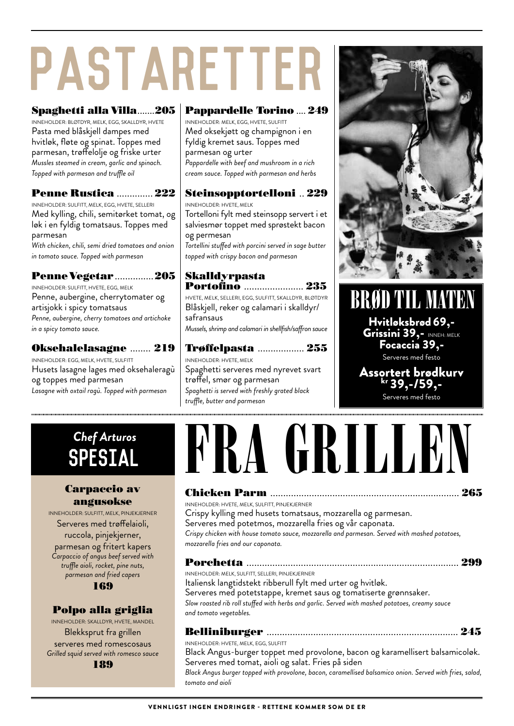# PASTARETTEI

#### Spaghetti alla Villa.......205

INNEHOLDER: BLØTDYR, MELK, EGG, SKALLDYR, HVETE Pasta med blåskjell dampes med hvitløk, fløte og spinat. Toppes med parmesan, trøffelolje og friske urter *Mussles steamed in cream, garlic and spinach. Topped with parmesan and truffle oil* 

#### Penne Rustica .............. 222

INNEHOLDER: SULFITT, MELK, EGG, HVETE, SELLERI Med kylling, chili, semitørket tomat, og løk i en fyldig tomatsaus. Toppes med parmesan

*With chicken, chili, semi dried tomatoes and onion in tomato sauce. Topped with parmesan*

#### Penne Vegetar ...............205

INNEHOLDER: SULFITT, HVETE, EGG, MELK Penne, aubergine, cherrytomater og artisjokk i spicy tomatsaus *Penne, aubergine, cherry tomatoes and artichoke in a spicy tomato sauce.*

#### Oksehalelasagne ........ 219

INNEHOLDER: EGG, MELK, HVETE, SULFITT Husets lasagne lages med oksehaleragù og toppes med parmesan *Lasagne with oxtail ragù. Topped with parmesan*

#### Pappardelle Torino .... 249

INNEHOLDER: MELK, EGG, HVETE, SULFITT Med oksekjøtt og champignon i en fyldig kremet saus. Toppes med parmesan og urter *Pappardelle with beef and mushroom in a rich cream sauce. Topped with parmesan and herbs*

#### Steinsopptortelloni .. 229

INNEHOLDER: HVETE, MELK Tortelloni fylt med steinsopp servert i et salviesmør toppet med sprøstekt bacon og permesan *Tortellini stuffed with porcini served in sage butter topped with crispy bacon and parmesan*

#### Skalldyrpasta Portofino .......................... 235

*truffle, butter and parmesan*

HVETE, MELK, SELLERI, EGG, SULFITT, SKALLDYR, BLØTDYR Blåskjell, reker og calamari i skalldyr/ safransaus *Mussels, shrimp and calamari in shellfish/saffron sauce*

Trøffelpasta .................. 255 INNEHOLDER: HVETE, MELK Spaghetti serveres med nyrevet svart trøffel, smør og parmesan *Spaghetti is served with freshly grated black* 



Hvitløksbrød 69,- Grissini 39,- INNEH: MELK Focaccia 39,- Serveres med festo BRØD TIL MATEN

#### Assortert brødkurv kr 39,-/59,- Serveres med festo

### SPESIAL *Chef Arturos*

#### Carpaccio av angusokse

INNEHOLDER: SULFITT, MELK, PINJEKJERNER Serveres med trøffelaioli, ruccola, pinjekjerner, parmesan og fritert kapers *Carpaccio of angus beef served with truffle aioli, rocket, pine nuts, parmesan and fried capers* 169

#### Polpo alla griglia

INNEHOLDER: SKALLDYR, HVETE, MANDEL Blekksprut fra grillen serveres med romescosaus *Grilled squid served with romesco sauce*

189

# NGRILLE

#### Chicken Parm ......................................................................... 265

INNEHOLDER: HVETE, MELK, SULFITT, PINJEKJERNER Crispy kylling med husets tomatsaus, mozzarella og parmesan. Serveres med potetmos, mozzarella fries og vår caponata. *Crispy chicken with house tomato sauce, mozzarella and parmesan. Served with mashed potatoes, mozzarella fries and our caponata.*

#### Porchetta .................................................................................. 299

INNEHOLDER: MELK, SULFITT, SELLERI, PINJEKJERNER

Italiensk langtidstekt ribberull fylt med urter og hvitløk. Serveres med potetstappe, kremet saus og tomatiserte grønnsaker. *Slow roasted rib roll stuffed with herbs and garlic. Served with mashed potatoes, creamy sauce and tomato vegetables.*

| INNEHOLDER: HVETE, MELK, EGG, SULFITT |  |
|---------------------------------------|--|

Black Angus-burger toppet med provolone, bacon og karamellisert balsamicoløk. Serveres med tomat, aioli og salat. Fries på siden

*Black Angus burger topped with provolone, bacon, caramellised balsamico onion. Served with fries, salad, tomato and aioli*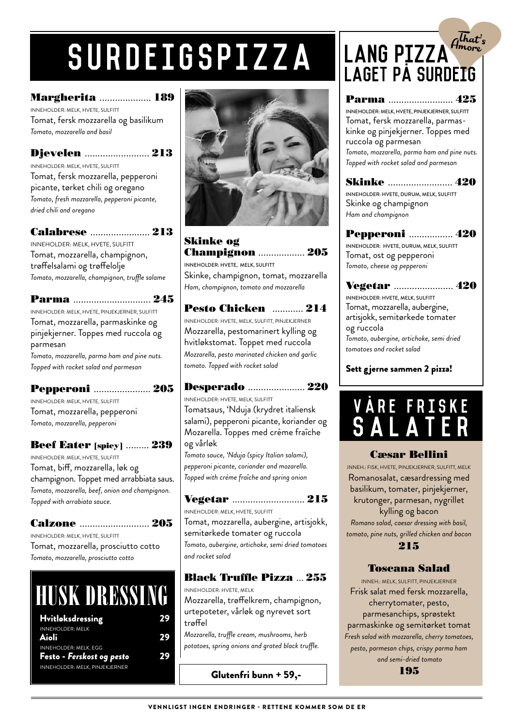# surdeigspizza

#### Margherita .................... 189

INNEHOLDER: MELK, HVETE, SULFITT Tomat, fersk mozzarella og basilikum *Tomato, mozzarella and basil*

Djevelen ......................... 213 INNEHOLDER: MELK, HVETE, SULFITT Tomat, fersk mozzarella, pepperoni picante, tørket chili og oregano *Tomato, fresh mozzarella, pepperoni picante, dried chili and oregano*

#### Calabrese ....................... 213

INNEHOLDER: MELK, HVETE, SULFITT Tomat, mozzarella, champignon, trøffelsalami og trøffelolje *Tomato, mozzarella, champignon, truffle salame*

#### Parma .............................. 245

INNEHOLDER: MELK, HVETE, PINJEKJERNER, SULFITT Tomat, mozzarella, parmaskinke og pinjekjerner. Toppes med ruccola og parmesan

*Tomato, mozzarella, parma ham and pine nuts. Topped with rocket salad and parmesan*

#### Pepperoni ...................... 205

INNEHOLDER: MELK, HVETE, SULFITT Tomat, mozzarella, pepperoni *Tomato, mozzarella, pepperoni*

#### **Beef Eater** [spicy] ......... 239

INNEHOLDER: MELK, HVETE, SULFITT Tomat, biff, mozzarella, løk og champignon. Toppet med arrabbiata saus. *Tomato, mozzarella, beef, onion and champignon. Topped with arrabiata sauce.*

#### Calzone ........................... 205

INNEHOLDER: MELK, HVETE, SULFITT Tomat, mozzarella, prosciutto cotto *Tomato, mozzarella, prosciutto cotto*

# HUSK DRESSING

| <b>Hvitløksdressing</b>                                   | 29 |
|-----------------------------------------------------------|----|
| <b>INNEHOLDER: MELK</b><br>Aioli                          | 29 |
| <b>INNEHOLDER: MELK, EGG</b><br>Festo - Ferskost og pesto | 29 |
| INNEHOLDER: MELK, PINJEKJERNER                            |    |



#### Skinke og Champignon .................. 205 INNEHOLDER: HVETE, MELK, SULFITT

Skinke, champignon, tomat, mozzarella *Ham, champignon, tomato and mozzarella*

#### Pesto Chicken ............ 214 INNEHOLDER: HVETE, MELK, SULFITT, PINJEKJERNER Mozzarella, pestomarinert kylling og hvitløkstomat. Toppet med ruccola *Mozzarella, pesto marinated chicken and garlic tomato. Topped with rocket salad*

Desperado ...................... 220 INNEHOLDER: HVETE, MELK, SULFITT Tomatsaus, 'Nduja (krydret italiensk salami), pepperoni picante, koriander og Mozarella. Toppes med crème fraîche og vårløk

*Tomato sauce, 'Nduja (spicy Italian salami), pepperoni picante, coriander and mozarella. Topped with crème fraîche and spring onion* 

Vegetar ............................ 215 INNEHOLDER: MELK, HVETE, SULFITT Tomat, mozzarella, aubergine, artisjokk, semitørkede tomater og ruccola *Tomato, aubergine, artichoke, semi dried tomatoes and rocket salad*

#### Black Truffle Pizza ... 255

INNEHOLDER: HVETE, MELK Mozzarella, trøffelkrem, champignon, urtepoteter, vårløk og nyrevet sort trøffel

*Mozzarella, truffle cream, mushrooms, herb potatoes, spring onions and grated black truffle.*

Glutenfri bunn + 59,-

### $A^{\overline{th}at^i_s}$ <br> $A^{\overline{th}at^i_s}$ Amore Lang pizza LAGET PÅ SURDEIG

Parma ......................... 425 INNEHOLDER: MELK, HVETE, PINJEKJERNER, SULFITT Tomat, fersk mozzarella, parmaskinke og pinjekjerner. Toppes med ruccola og parmesan *Tomato, mozzarella, parma ham and pine nuts. Topped with rocket salad and parmesan*

Skinke ......................... 420 INNEHOLDER: HVETE, DURUM, MELK, SULFITT Skinke og champignon *Ham and champignon*

Pepperoni ................. 420 INNEHOLDER: HVETE, DURUM, MELK, SULFITT Tomat, ost og pepperoni *Tomato, cheese og pepperoni*

Vegetar ....................... 420 INNEHOLDER: HVETE, MELK, SULFITT Tomat, mozzarella, aubergine, artisjokk, semitørkede tomater og ruccola *Tomato, aubergine, artichoke, semi dried tomatoes and rocket salad*

#### Sett gjerne sammen 2 pizza!



#### Cæsar Bellini

INNEH.: FISK, HVETE, PINJEKJERNER, SULFITT, MELK Romanosalat, cæsardressing med basilikum, tomater, pinjekjerner, krutonger, parmesan, nygrillet kylling og bacon *Romano salad, caesar dressing with basil, tomato, pine nuts, grilled chicken and bacon*

#### 215

#### Toscana Salad

INNEH.: MELK, SULFITT, PINJEKJERNER Frisk salat med fersk mozzarella, cherrytomater, pesto, parmesanchips, sprøstekt parmaskinke og semitørket tomat *Fresh salad with mozzarella, cherry tomatoes, pesto, parmesan chips, crispy parma ham and semi-dried tomato* 195